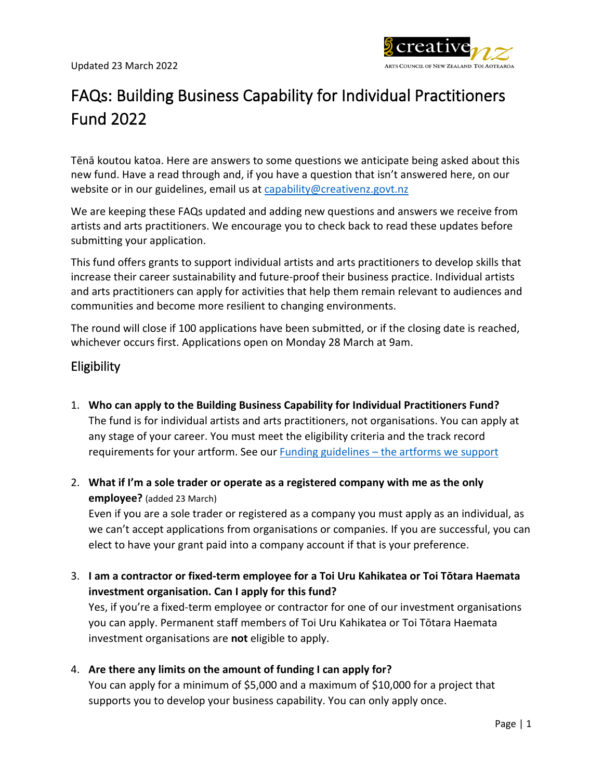

# FAQs: Building Business Capability for Individual Practitioners Fund 2022

Tēnā koutou katoa. Here are answers to some questions we anticipate being asked about this new fund. Have a read through and, if you have a question that isn't answered here, on our website or in our guidelines, email us at [capability@creativenz.govt.nz](mailto:capability@creativenz.govt.nz)

We are keeping these FAQs updated and adding new questions and answers we receive from artists and arts practitioners. We encourage you to check back to read these updates before submitting your application.

This fund offers grants to support individual artists and arts practitioners to develop skills that increase their career sustainability and future-proof their business practice. Individual artists and arts practitioners can apply for activities that help them remain relevant to audiences and communities and become more resilient to changing environments.

The round will close if 100 applications have been submitted, or if the closing date is reached, whichever occurs first. Applications open on Monday 28 March at 9am.

# **Eligibility**

- 1. **Who can apply to the Building Business Capability for Individual Practitioners Fund?** The fund is for individual artists and arts practitioners, not organisations. You can apply at any stage of your career. You must meet the eligibility criteria and the track record requirements for your artform. See our Funding guidelines – [the artforms we support](http://guidelines.creativenz.govt.nz/help/the-artforms-we-support)
- 2. **What if I'm a sole trader or operate as a registered company with me as the only employee?** (added 23 March)

Even if you are a sole trader or registered as a company you must apply as an individual, as we can't accept applications from organisations or companies. If you are successful, you can elect to have your grant paid into a company account if that is your preference.

3. **I am a contractor or fixed-term employee for a Toi Uru Kahikatea or Toi Tōtara Haemata investment organisation. Can I apply for this fund?**

Yes, if you're a fixed-term employee or contractor for one of our investment organisations you can apply. Permanent staff members of Toi Uru Kahikatea or Toi Tōtara Haemata investment organisations are **not** eligible to apply.

4. **Are there any limits on the amount of funding I can apply for?**

You can apply for a minimum of \$5,000 and a maximum of \$10,000 for a project that supports you to develop your business capability. You can only apply once.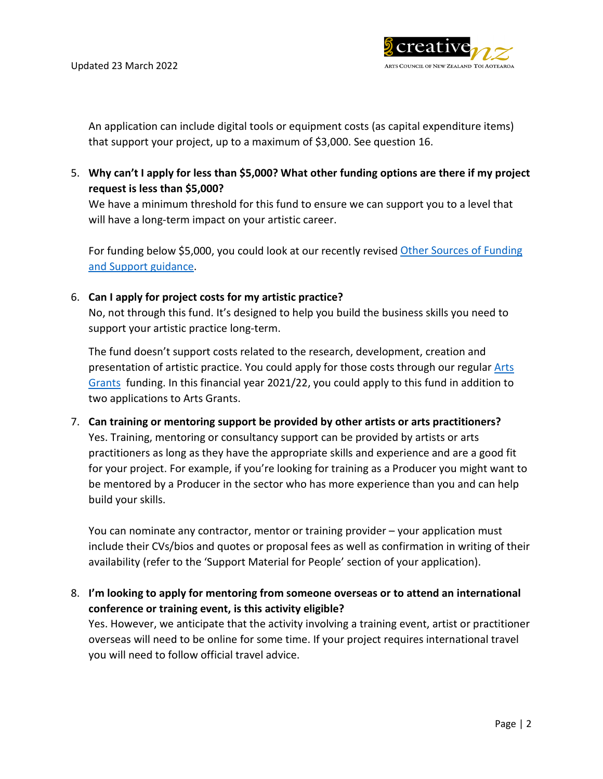

An application can include digital tools or equipment costs (as capital expenditure items) that support your project, up to a maximum of \$3,000. See question 16.

5. **Why can't I apply for less than \$5,000? What other funding options are there if my project request is less than \$5,000?**

We have a minimum threshold for this fund to ensure we can support you to a level that will have a long-term impact on your artistic career.

For funding below \$5,000, you could look at our recently revised [Other Sources of Funding](https://www.creativenz.govt.nz/find-funding/other-sources-of-funding-and-support)  [and Support guidance.](https://www.creativenz.govt.nz/find-funding/other-sources-of-funding-and-support)

## 6. **Can I apply for project costs for my artistic practice?**

No, not through this fund. It's designed to help you build the business skills you need to support your artistic practice long-term.

The fund doesn't support costs related to the research, development, creation and presentation of artistic practice. You could apply for those costs through our regular [Arts](https://www.creativenz.govt.nz/find-funding/funds/arts-grants)  [Grants](https://www.creativenz.govt.nz/find-funding/funds/arts-grants) funding. In this financial year 2021/22, you could apply to this fund in addition to two applications to Arts Grants.

7. **Can training or mentoring support be provided by other artists or arts practitioners?** Yes. Training, mentoring or consultancy support can be provided by artists or arts practitioners as long as they have the appropriate skills and experience and are a good fit for your project. For example, if you're looking for training as a Producer you might want to be mentored by a Producer in the sector who has more experience than you and can help build your skills.

You can nominate any contractor, mentor or training provider – your application must include their CVs/bios and quotes or proposal fees as well as confirmation in writing of their availability (refer to the 'Support Material for People' section of your application).

8. **I'm looking to apply for mentoring from someone overseas or to attend an international conference or training event, is this activity eligible?**

Yes. However, we anticipate that the activity involving a training event, artist or practitioner overseas will need to be online for some time. If your project requires international travel you will need to follow official travel advice.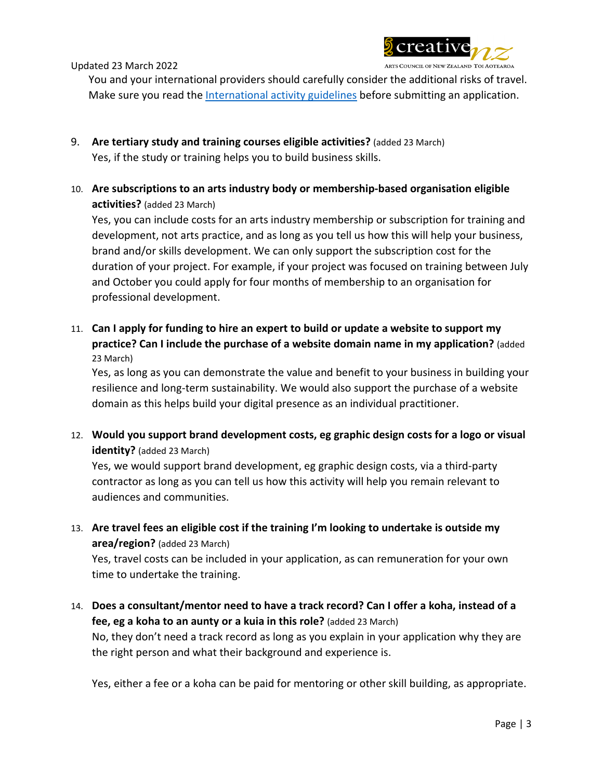

Updated 23 March 2022

You and your international providers should carefully consider the additional risks of travel. Make sure you read th[e International activity guidelines](http://www.guidelines.creativenz.govt.nz/help/international-activity) before submitting an application.

- 9. **Are tertiary study and training courses eligible activities?** (added 23 March) Yes, if the study or training helps you to build business skills.
- 10. **Are subscriptions to an arts industry body or membership-based organisation eligible activities?** (added 23 March)

Yes, you can include costs for an arts industry membership or subscription for training and development, not arts practice, and as long as you tell us how this will help your business, brand and/or skills development. We can only support the subscription cost for the duration of your project. For example, if your project was focused on training between July and October you could apply for four months of membership to an organisation for professional development.

11. **Can I apply for funding to hire an expert to build or update a website to support my practice? Can I include the purchase of a website domain name in my application?** (added 23 March)

Yes, as long as you can demonstrate the value and benefit to your business in building your resilience and long-term sustainability. We would also support the purchase of a website domain as this helps build your digital presence as an individual practitioner.

12. **Would you support brand development costs, eg graphic design costs for a logo or visual identity?** (added 23 March)

Yes, we would support brand development, eg graphic design costs, via a third-party contractor as long as you can tell us how this activity will help you remain relevant to audiences and communities.

13. **Are travel fees an eligible cost if the training I'm looking to undertake is outside my area/region?** (added 23 March)

Yes, travel costs can be included in your application, as can remuneration for your own time to undertake the training.

14. **Does a consultant/mentor need to have a track record? Can I offer a koha, instead of a fee, eg a koha to an aunty or a kuia in this role?** (added 23 March) No, they don't need a track record as long as you explain in your application why they are the right person and what their background and experience is.

Yes, either a fee or a koha can be paid for mentoring or other skill building, as appropriate.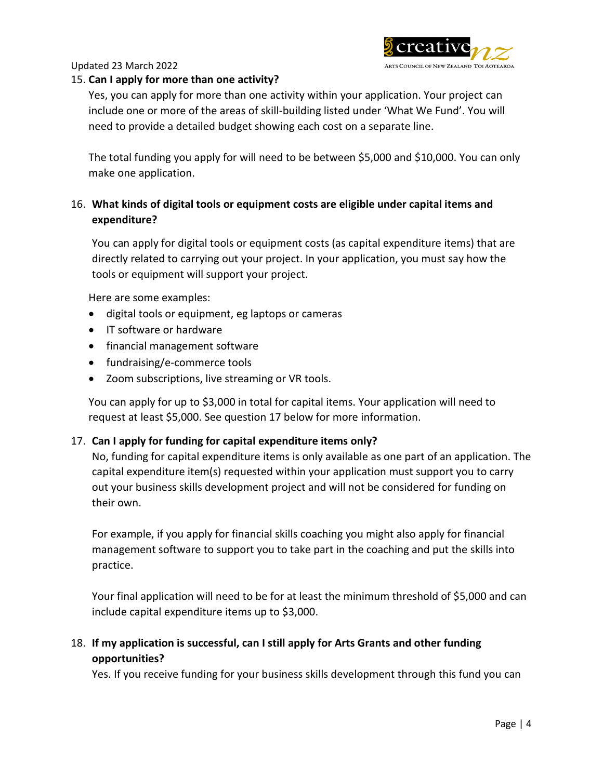

#### Updated 23 March 2022

#### 15. **Can I apply for more than one activity?**

Yes, you can apply for more than one activity within your application. Your project can include one or more of the areas of skill-building listed under 'What We Fund'. You will need to provide a detailed budget showing each cost on a separate line.

The total funding you apply for will need to be between \$5,000 and \$10,000. You can only make one application.

# 16. **What kinds of digital tools or equipment costs are eligible under capital items and expenditure?**

You can apply for digital tools or equipment costs (as capital expenditure items) that are directly related to carrying out your project. In your application, you must say how the tools or equipment will support your project.

Here are some examples:

- digital tools or equipment, eg laptops or cameras
- IT software or hardware
- financial management software
- fundraising/e-commerce tools
- Zoom subscriptions, live streaming or VR tools.

You can apply for up to \$3,000 in total for capital items. Your application will need to request at least \$5,000. See question 17 below for more information.

### 17. **Can I apply for funding for capital expenditure items only?**

No, funding for capital expenditure items is only available as one part of an application. The capital expenditure item(s) requested within your application must support you to carry out your business skills development project and will not be considered for funding on their own.

For example, if you apply for financial skills coaching you might also apply for financial management software to support you to take part in the coaching and put the skills into practice.

Your final application will need to be for at least the minimum threshold of \$5,000 and can include capital expenditure items up to \$3,000.

# 18. **If my application is successful, can I still apply for Arts Grants and other funding opportunities?**

Yes. If you receive funding for your business skills development through this fund you can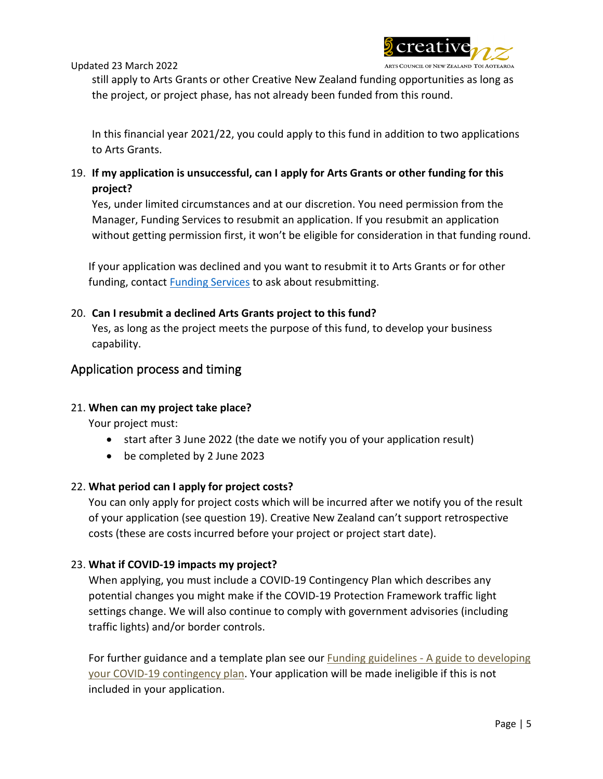



still apply to Arts Grants or other Creative New Zealand funding opportunities as long as the project, or project phase, has not already been funded from this round.

In this financial year 2021/22, you could apply to this fund in addition to two applications to Arts Grants.

19. **If my application is unsuccessful, can I apply for Arts Grants or other funding for this project?**

Yes, under limited circumstances and at our discretion. You need permission from the Manager, Funding Services to resubmit an application. If you resubmit an application without getting permission first, it won't be eligible for consideration in that funding round.

If your application was declined and you want to resubmit it to Arts Grants or for other funding, contact [Funding Services](mailto:funding@creativenz.govt.nz) to ask about resubmitting.

# 20. **Can I resubmit a declined Arts Grants project to this fund?**

Yes, as long as the project meets the purpose of this fund, to develop your business capability.

# Application process and timing

## 21. **When can my project take place?**

Your project must:

- start after 3 June 2022 (the date we notify you of your application result)
- be completed by 2 June 2023

## 22. **What period can I apply for project costs?**

You can only apply for project costs which will be incurred after we notify you of the result of your application (see question 19). Creative New Zealand can't support retrospective costs (these are costs incurred before your project or project start date).

## 23. **What if COVID-19 impacts my project?**

When applying, you must include a COVID-19 Contingency Plan which describes any potential changes you might make if the COVID-19 Protection Framework traffic light settings change. We will also continue to comply with government advisories (including traffic lights) and/or border controls.

For further guidance and a template plan see our **Funding guidelines - A guide to developing** your COVID-[19 contingency plan.](https://www.guidelines.creativenz.govt.nz/help/a-guide-to-developing-your-covid-19-contingency-plan) Your application will be made ineligible if this is not included in your application.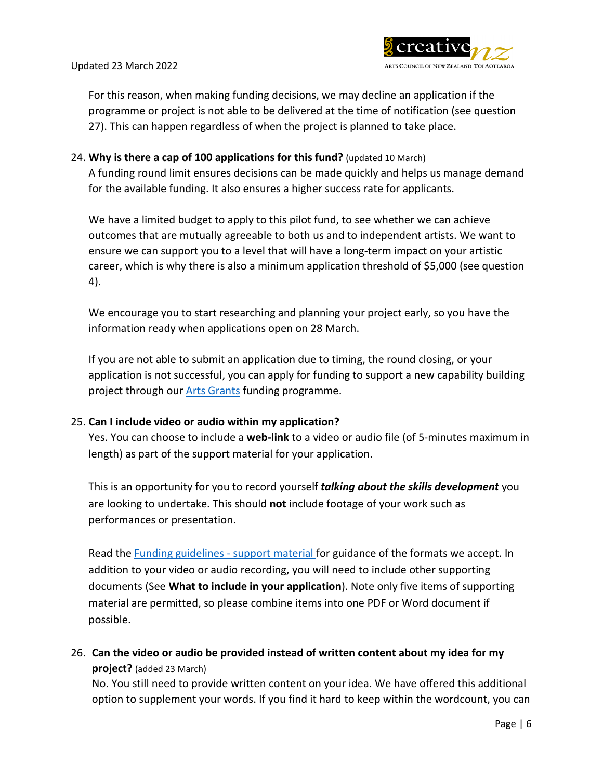

For this reason, when making funding decisions, we may decline an application if the programme or project is not able to be delivered at the time of notification (see question 27). This can happen regardless of when the project is planned to take place.

24. **Why is there a cap of 100 applications for this fund?** (updated 10 March) A funding round limit ensures decisions can be made quickly and helps us manage demand for the available funding. It also ensures a higher success rate for applicants.

We have a limited budget to apply to this pilot fund, to see whether we can achieve outcomes that are mutually agreeable to both us and to independent artists. We want to ensure we can support you to a level that will have a long-term impact on your artistic career, which is why there is also a minimum application threshold of \$5,000 (see question 4).

We encourage you to start researching and planning your project early, so you have the information ready when applications open on 28 March.

If you are not able to submit an application due to timing, the round closing, or your application is not successful, you can apply for funding to support a new capability building project through our [Arts Grants](https://www.creativenz.govt.nz/find-funding/funds/arts-grants) funding programme.

### 25. **Can I include video or audio within my application?**

Yes. You can choose to include a **web-link** to a video or audio file (of 5-minutes maximum in length) as part of the support material for your application.

This is an opportunity for you to record yourself *talking about the skills development* you are looking to undertake. This should **not** include footage of your work such as performances or presentation.

Read the [Funding guidelines](http://guidelines.creativenz.govt.nz/help/support-material) - support material for guidance of the formats we accept. In addition to your video or audio recording, you will need to include other supporting documents (See **What to include in your application**). Note only five items of supporting material are permitted, so please combine items into one PDF or Word document if possible.

26. **Can the video or audio be provided instead of written content about my idea for my project?** (added 23 March)

No. You still need to provide written content on your idea. We have offered this additional option to supplement your words. If you find it hard to keep within the wordcount, you can